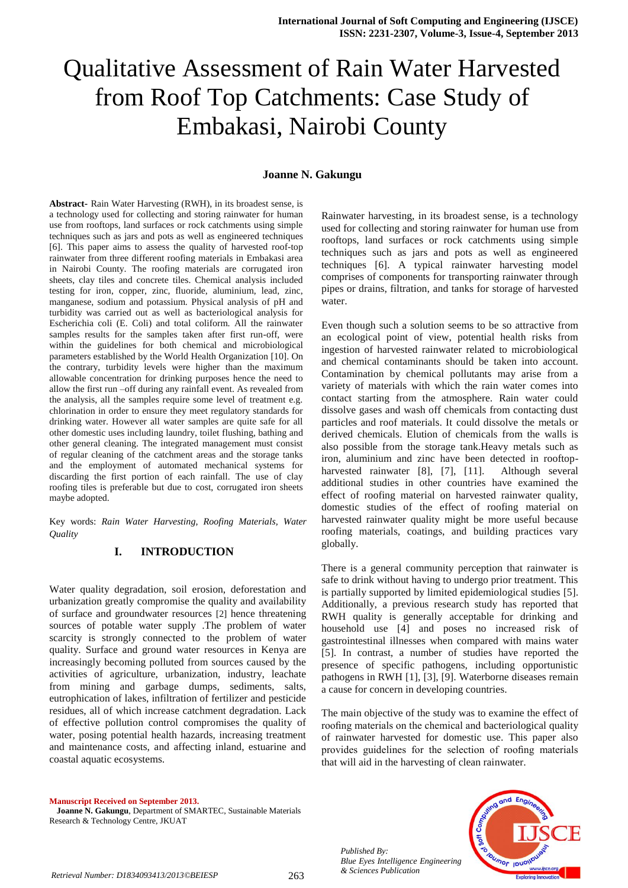# Qualitative Assessment of Rain Water Harvested from Roof Top Catchments: Case Study of Embakasi, Nairobi County

#### **Joanne N. Gakungu**

**Abstract-** Rain Water Harvesting (RWH), in its broadest sense, is a technology used for collecting and storing rainwater for human use from rooftops, land surfaces or rock catchments using simple techniques such as jars and pots as well as engineered techniques [6]. This paper aims to assess the quality of harvested roof-top rainwater from three different roofing materials in Embakasi area in Nairobi County. The roofing materials are corrugated iron sheets, clay tiles and concrete tiles. Chemical analysis included testing for iron, copper, zinc, fluoride, aluminium, lead, zinc, manganese, sodium and potassium. Physical analysis of pH and turbidity was carried out as well as bacteriological analysis for Escherichia coli (E. Coli) and total coliform. All the rainwater samples results for the samples taken after first run-off, were within the guidelines for both chemical and microbiological parameters established by the World Health Organization [10]. On the contrary, turbidity levels were higher than the maximum allowable concentration for drinking purposes hence the need to allow the first run –off during any rainfall event. As revealed from the analysis, all the samples require some level of treatment e.g. chlorination in order to ensure they meet regulatory standards for drinking water. However all water samples are quite safe for all other domestic uses including laundry, toilet flushing, bathing and other general cleaning. The integrated management must consist of regular cleaning of the catchment areas and the storage tanks and the employment of automated mechanical systems for discarding the first portion of each rainfall. The use of clay roofing tiles is preferable but due to cost, corrugated iron sheets maybe adopted.

Key words: *Rain Water Harvesting, Roofing Materials, Water Quality*

#### **I. INTRODUCTION**

Water quality degradation, soil erosion, deforestation and urbanization greatly compromise the quality and availability of surface and groundwater resources [2] hence threatening sources of potable water supply .The problem of water scarcity is strongly connected to the problem of water quality. Surface and ground water resources in Kenya are increasingly becoming polluted from sources caused by the activities of agriculture, urbanization, industry, leachate from mining and garbage dumps, sediments, salts, eutrophication of lakes, infiltration of fertilizer and pesticide residues, all of which increase catchment degradation. Lack of effective pollution control compromises the quality of water, posing potential health hazards, increasing treatment and maintenance costs, and affecting inland, estuarine and coastal aquatic ecosystems.

**Manuscript Received on September 2013. Joanne N. Gakungu**, Department of SMARTEC, Sustainable Materials Research & Technology Centre, JKUAT

Rainwater harvesting, in its broadest sense, is a technology used for collecting and storing rainwater for human use from rooftops, land surfaces or rock catchments using simple techniques such as jars and pots as well as engineered techniques [6]. A typical rainwater harvesting model comprises of components for transporting rainwater through pipes or drains, filtration, and tanks for storage of harvested water.

Even though such a solution seems to be so attractive from an ecological point of view, potential health risks from ingestion of harvested rainwater related to microbiological and chemical contaminants should be taken into account. Contamination by chemical pollutants may arise from a variety of materials with which the rain water comes into contact starting from the atmosphere. Rain water could dissolve gases and wash off chemicals from contacting dust particles and roof materials. It could dissolve the metals or derived chemicals. Elution of chemicals from the walls is also possible from the storage tank.Heavy metals such as iron, aluminium and zinc have been detected in rooftopharvested rainwater [8], [7], [11]. Although several additional studies in other countries have examined the effect of roofing material on harvested rainwater quality, domestic studies of the effect of roofing material on harvested rainwater quality might be more useful because roofing materials, coatings, and building practices vary globally.

There is a general community perception that rainwater is safe to drink without having to undergo prior treatment. This is partially supported by limited epidemiological studies [5]. Additionally, a previous research study has reported that RWH quality is generally acceptable for drinking and household use [4] and poses no increased risk of gastrointestinal illnesses when compared with mains water [5]. In contrast, a number of studies have reported the presence of specific pathogens, including opportunistic pathogens in RWH [1], [3], [9]. Waterborne diseases remain a cause for concern in developing countries.

The main objective of the study was to examine the effect of roofing materials on the chemical and bacteriological quality of rainwater harvested for domestic use. This paper also provides guidelines for the selection of roofing materials that will aid in the harvesting of clean rainwater.

*Published By: Blue Eyes Intelligence Engineering* 



*& Sciences Publication Retrieval Number: D1834093413/2013©BEIESP*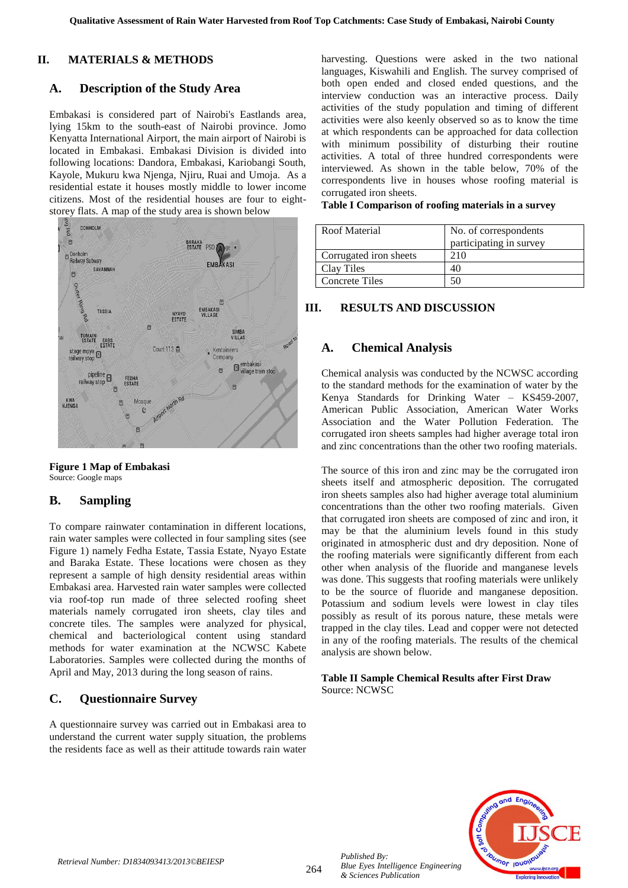#### **II. MATERIALS & METHODS**

## **A. Description of the Study Area**

Embakasi is considered part of Nairobi's Eastlands area, lying 15km to the south-east of Nairobi province. Jomo Kenyatta International Airport, the main airport of Nairobi is located in Embakasi. Embakasi Division is divided into following locations: Dandora, Embakasi, Kariobangi South, Kayole, Mukuru kwa Njenga, Njiru, Ruai and Umoja. As a residential estate it houses mostly middle to lower income citizens. Most of the residential houses are four to eight-



**Figure 1 Map of Embakasi** Source: Google maps

## **B. Sampling**

To compare rainwater contamination in different locations, rain water samples were collected in four sampling sites (see Figure 1) namely Fedha Estate, Tassia Estate, Nyayo Estate and Baraka Estate. These locations were chosen as they represent a sample of high density residential areas within Embakasi area. Harvested rain water samples were collected via roof-top run made of three selected roofing sheet materials namely corrugated iron sheets, clay tiles and concrete tiles. The samples were analyzed for physical, chemical and bacteriological content using standard methods for water examination at the NCWSC Kabete Laboratories. Samples were collected during the months of April and May, 2013 during the long season of rains.

# **C. Questionnaire Survey**

A questionnaire survey was carried out in Embakasi area to understand the current water supply situation, the problems the residents face as well as their attitude towards rain water harvesting. Questions were asked in the two national languages, Kiswahili and English. The survey comprised of both open ended and closed ended questions, and the interview conduction was an interactive process. Daily activities of the study population and timing of different activities were also keenly observed so as to know the time at which respondents can be approached for data collection with minimum possibility of disturbing their routine activities. A total of three hundred correspondents were interviewed. As shown in the table below, 70% of the correspondents live in houses whose roofing material is corrugated iron sheets.

|  | Table I Comparison of roofing materials in a survey |  |  |  |
|--|-----------------------------------------------------|--|--|--|
|--|-----------------------------------------------------|--|--|--|

| Roof Material          | No. of correspondents<br>participating in survey |
|------------------------|--------------------------------------------------|
| Corrugated iron sheets | 210                                              |
| Clay Tiles             | 40                                               |
| <b>Concrete Tiles</b>  |                                                  |

## **III. RESULTS AND DISCUSSION**

#### **A. Chemical Analysis**

Chemical analysis was conducted by the NCWSC according to the standard methods for the examination of water by the Kenya Standards for Drinking Water – KS459-2007, American Public Association, American Water Works Association and the Water Pollution Federation. The corrugated iron sheets samples had higher average total iron and zinc concentrations than the other two roofing materials.

The source of this iron and zinc may be the corrugated iron sheets itself and atmospheric deposition. The corrugated iron sheets samples also had higher average total aluminium concentrations than the other two roofing materials. Given that corrugated iron sheets are composed of zinc and iron, it may be that the aluminium levels found in this study originated in atmospheric dust and dry deposition. None of the roofing materials were significantly different from each other when analysis of the fluoride and manganese levels was done. This suggests that roofing materials were unlikely to be the source of fluoride and manganese deposition. Potassium and sodium levels were lowest in clay tiles possibly as result of its porous nature, these metals were trapped in the clay tiles. Lead and copper were not detected in any of the roofing materials. The results of the chemical analysis are shown below.

#### **Table II Sample Chemical Results after First Draw** Source: NCWSC



*Blue Eyes Intelligence Engineering & Sciences Publication*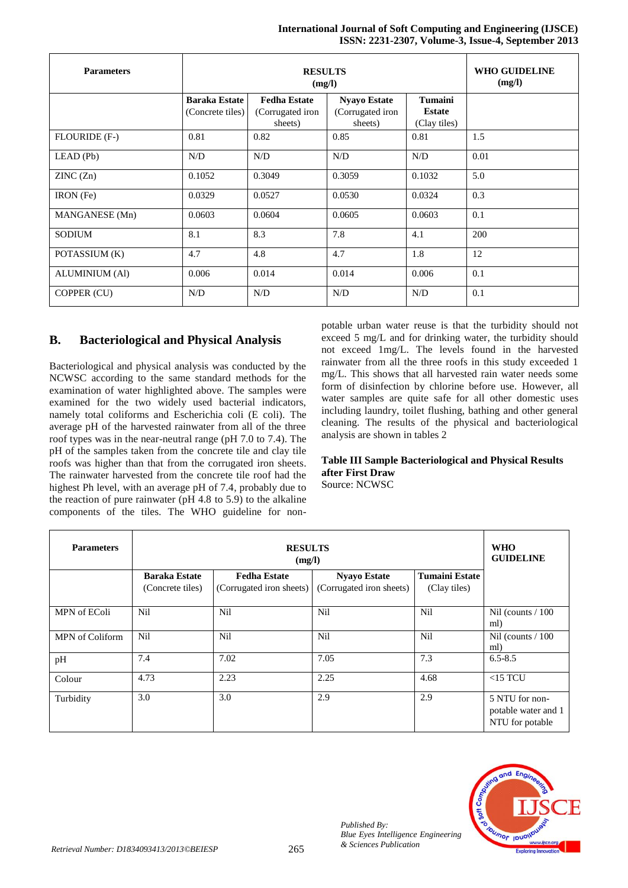#### **International Journal of Soft Computing and Engineering (IJSCE) ISSN: 2231-2307, Volume-3, Issue-4, September 2013**

| <b>Parameters</b>     |                                          | <b>WHO GUIDELINE</b><br>(mg/l)                     |                                                    |                                                 |      |
|-----------------------|------------------------------------------|----------------------------------------------------|----------------------------------------------------|-------------------------------------------------|------|
|                       | <b>Baraka Estate</b><br>(Concrete tiles) | <b>Fedha Estate</b><br>(Corrugated iron<br>sheets) | <b>Nyayo Estate</b><br>(Corrugated iron<br>sheets) | <b>Tumaini</b><br><b>Estate</b><br>(Clay tiles) |      |
| FLOURIDE (F-)         | 0.81                                     | 0.82                                               | 0.85                                               | 0.81                                            | 1.5  |
| $LEAD$ (Pb)           | N/D                                      | N/D                                                | N/D                                                | N/D                                             | 0.01 |
| ZINC(Zn)              | 0.1052                                   | 0.3049                                             | 0.3059                                             | 0.1032                                          | 5.0  |
| IRON (Fe)             | 0.0329                                   | 0.0527                                             | 0.0530                                             | 0.0324                                          | 0.3  |
| MANGANESE (Mn)        | 0.0603                                   | 0.0604                                             | 0.0605                                             | 0.0603                                          | 0.1  |
| SODIUM                | 8.1                                      | 8.3                                                | 7.8                                                | 4.1                                             | 200  |
| POTASSIUM (K)         | 4.7                                      | 4.8                                                | 4.7                                                | 1.8                                             | 12   |
| <b>ALUMINIUM (Al)</b> | 0.006                                    | 0.014                                              | 0.014                                              | 0.006                                           | 0.1  |
| COPPER (CU)           | N/D                                      | N/D                                                | N/D                                                | N/D                                             | 0.1  |

# **B. Bacteriological and Physical Analysis**

Bacteriological and physical analysis was conducted by the NCWSC according to the same standard methods for the examination of water highlighted above. The samples were examined for the two widely used bacterial indicators, namely total coliforms and Escherichia coli (E coli). The average pH of the harvested rainwater from all of the three roof types was in the near-neutral range (pH 7.0 to 7.4). The pH of the samples taken from the concrete tile and clay tile roofs was higher than that from the corrugated iron sheets. The rainwater harvested from the concrete tile roof had the highest Ph level, with an average pH of 7.4, probably due to the reaction of pure rainwater (pH 4.8 to 5.9) to the alkaline components of the tiles. The WHO guideline for nonpotable urban water reuse is that the turbidity should not exceed 5 mg/L and for drinking water, the turbidity should not exceed 1mg/L. The levels found in the harvested rainwater from all the three roofs in this study exceeded 1 mg/L. This shows that all harvested rain water needs some form of disinfection by chlorine before use. However, all water samples are quite safe for all other domestic uses including laundry, toilet flushing, bathing and other general cleaning. The results of the physical and bacteriological analysis are shown in tables 2

#### **Table III Sample Bacteriological and Physical Results after First Draw** Source: NCWSC

| <b>Parameters</b> | <b>RESULTS</b><br>(mg/l)                 |                                                 |                                                 |                                       | <b>WHO</b><br><b>GUIDELINE</b>                           |
|-------------------|------------------------------------------|-------------------------------------------------|-------------------------------------------------|---------------------------------------|----------------------------------------------------------|
|                   | <b>Baraka Estate</b><br>(Concrete tiles) | <b>Fedha Estate</b><br>(Corrugated iron sheets) | <b>Nyayo Estate</b><br>(Corrugated iron sheets) | <b>Tumaini Estate</b><br>(Clay tiles) |                                                          |
| MPN of EColi      | Nil                                      | Nil                                             | Nil                                             | Nil                                   | Nil (counts $/ 100$ )<br>ml)                             |
| MPN of Coliform   | Nil                                      | Nil                                             | Nil                                             | Nil                                   | Nil (counts $/ 100$ )<br>ml)                             |
| pH                | 7.4                                      | 7.02                                            | 7.05                                            | 7.3                                   | $6.5 - 8.5$                                              |
| Colour            | 4.73                                     | 2.23                                            | 2.25                                            | 4.68                                  | $<$ 15 TCU                                               |
| Turbidity         | 3.0                                      | 3.0                                             | 2.9                                             | 2.9                                   | 5 NTU for non-<br>potable water and 1<br>NTU for potable |



*Published By: Blue Eyes Intelligence Engineering*